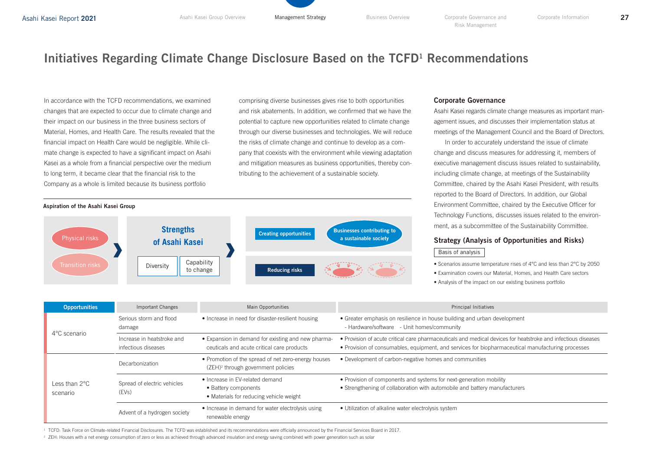# Initiatives Regarding Climate Change Disclosure Based on the TCFD<sup>1</sup> Recommendations

In accordance with the TCFD recommendations, we examined changes that are expected to occur due to climate change and their impact on our business in the three business sectors of Material, Homes, and Health Care. The results revealed that the financial impact on Health Care would be negligible. While climate change is expected to have a significant impact on Asahi Kasei as a whole from a financial perspective over the medium to long term, it became clear that the financial risk to the Company as a whole is limited because its business portfolio

comprising diverse businesses gives rise to both opportunities and risk abatements. In addition, we confirmed that we have the potential to capture new opportunities related to climate change through our diverse businesses and technologies. We will reduce the risks of climate change and continue to develop as a company that coexists with the environment while viewing adaptation and mitigation measures as business opportunities, thereby contributing to the achievement of a sustainable society.



## Corporate Governance

Asahi Kasei regards climate change measures as important management issues, and discusses their implementation status at meetings of the Management Council and the Board of Directors.

In order to accurately understand the issue of climate change and discuss measures for addressing it, members of executive management discuss issues related to sustainability, including climate change, at meetings of the Sustainability Committee, chaired by the Asahi Kasei President, with results reported to the Board of Directors. In addition, our Global Environment Committee, chaired by the Executive Officer for Technology Functions, discusses issues related to the environment, as a subcommittee of the Sustainability Committee.

## Strategy (Analysis of Opportunities and Risks)

### Basis of analysis

• Scenarios assume temperature rises of 4°C and less than 2°C by 2050

• Examination covers our Material, Homes, and Health Care sectors

• Analysis of the impact on our existing business portfolio

| <b>Opportunities</b>                | Important Changes                                 | Main Opportunities                                                                                    | <b>Principal Initiatives</b>                                                                                                                                                                                       |
|-------------------------------------|---------------------------------------------------|-------------------------------------------------------------------------------------------------------|--------------------------------------------------------------------------------------------------------------------------------------------------------------------------------------------------------------------|
| 4°C scenario                        | Serious storm and flood<br>damage                 | • Increase in need for disaster-resilient housing                                                     | • Greater emphasis on resilience in house building and urban development<br>- Hardware/software - Unit homes/community                                                                                             |
|                                     | Increase in heatstroke and<br>infectious diseases | • Expansion in demand for existing and new pharma-<br>ceuticals and acute critical care products      | • Provision of acute critical care pharmaceuticals and medical devices for heatstroke and infectious diseases<br>• Provision of consumables, equipment, and services for biopharmaceutical manufacturing processes |
| Less than $2^{\circ}$ C<br>scenario | Decarbonization                                   | • Promotion of the spread of net zero-energy houses<br>(ZEH) <sup>2</sup> through government policies | • Development of carbon-negative homes and communities                                                                                                                                                             |
|                                     | Spread of electric vehicles<br>(EVs)              | • Increase in EV-related demand<br>• Battery components<br>• Materials for reducing vehicle weight    | • Provision of components and systems for next-generation mobility<br>• Strengthening of collaboration with automobile and battery manufacturers                                                                   |
|                                     | Advent of a hydrogen society                      | • Increase in demand for water electrolysis using<br>renewable energy                                 | • Utilization of alkaline water electrolysis system                                                                                                                                                                |

<sup>1</sup> TCFD: Task Force on Climate-related Financial Disclosures. The TCFD was established and its recommendations were officially announced by the Financial Services Board in 2017.

<sup>2</sup> ZEH: Houses with a net energy consumption of zero or less as achieved through advanced insulation and energy saving combined with power generation such as solar